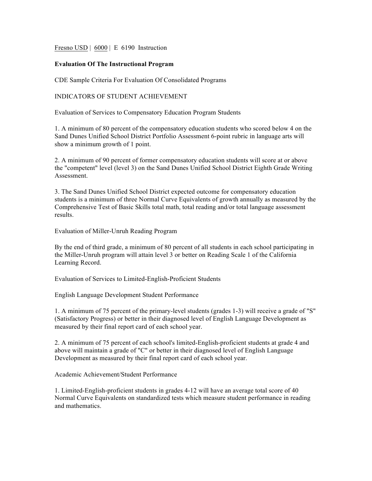Fresno USD | 6000 | E 6190 Instruction

## **Evaluation Of The Instructional Program**

CDE Sample Criteria For Evaluation Of Consolidated Programs

INDICATORS OF STUDENT ACHIEVEMENT

Evaluation of Services to Compensatory Education Program Students

1. A minimum of 80 percent of the compensatory education students who scored below 4 on the Sand Dunes Unified School District Portfolio Assessment 6-point rubric in language arts will show a minimum growth of 1 point.

2. A minimum of 90 percent of former compensatory education students will score at or above the "competent" level (level 3) on the Sand Dunes Unified School District Eighth Grade Writing **Assessment** 

3. The Sand Dunes Unified School District expected outcome for compensatory education students is a minimum of three Normal Curve Equivalents of growth annually as measured by the Comprehensive Test of Basic Skills total math, total reading and/or total language assessment results.

Evaluation of Miller-Unruh Reading Program

By the end of third grade, a minimum of 80 percent of all students in each school participating in the Miller-Unruh program will attain level 3 or better on Reading Scale 1 of the California Learning Record.

Evaluation of Services to Limited-English-Proficient Students

English Language Development Student Performance

1. A minimum of 75 percent of the primary-level students (grades 1-3) will receive a grade of "S" (Satisfactory Progress) or better in their diagnosed level of English Language Development as measured by their final report card of each school year.

2. A minimum of 75 percent of each school's limited-English-proficient students at grade 4 and above will maintain a grade of "C" or better in their diagnosed level of English Language Development as measured by their final report card of each school year.

Academic Achievement/Student Performance

1. Limited-English-proficient students in grades 4-12 will have an average total score of 40 Normal Curve Equivalents on standardized tests which measure student performance in reading and mathematics.